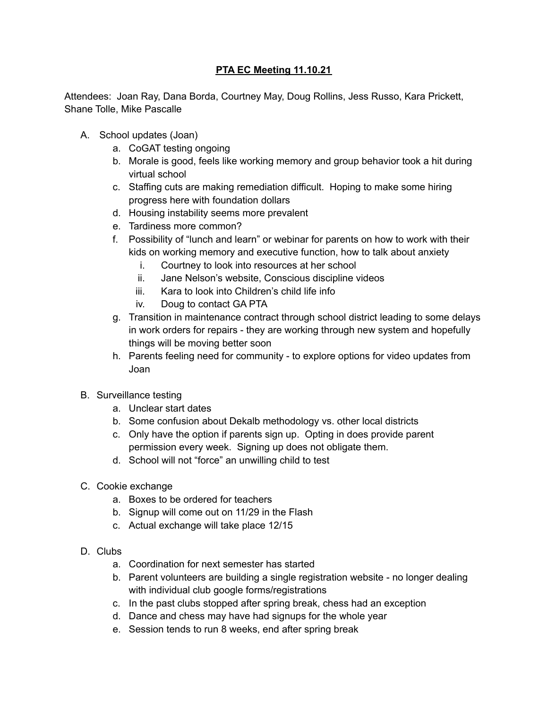## **PTA EC Meeting 11.10.21**

Attendees: Joan Ray, Dana Borda, Courtney May, Doug Rollins, Jess Russo, Kara Prickett, Shane Tolle, Mike Pascalle

- A. School updates (Joan)
	- a. CoGAT testing ongoing
	- b. Morale is good, feels like working memory and group behavior took a hit during virtual school
	- c. Staffing cuts are making remediation difficult. Hoping to make some hiring progress here with foundation dollars
	- d. Housing instability seems more prevalent
	- e. Tardiness more common?
	- f. Possibility of "lunch and learn" or webinar for parents on how to work with their kids on working memory and executive function, how to talk about anxiety
		- i. Courtney to look into resources at her school
		- ii. Jane Nelson's website, Conscious discipline videos
		- iii. Kara to look into Children's child life info
		- iv. Doug to contact GA PTA
	- g. Transition in maintenance contract through school district leading to some delays in work orders for repairs - they are working through new system and hopefully things will be moving better soon
	- h. Parents feeling need for community to explore options for video updates from Joan
- B. Surveillance testing
	- a. Unclear start dates
	- b. Some confusion about Dekalb methodology vs. other local districts
	- c. Only have the option if parents sign up. Opting in does provide parent permission every week. Signing up does not obligate them.
	- d. School will not "force" an unwilling child to test
- C. Cookie exchange
	- a. Boxes to be ordered for teachers
	- b. Signup will come out on 11/29 in the Flash
	- c. Actual exchange will take place 12/15
- D. Clubs
	- a. Coordination for next semester has started
	- b. Parent volunteers are building a single registration website no longer dealing with individual club google forms/registrations
	- c. In the past clubs stopped after spring break, chess had an exception
	- d. Dance and chess may have had signups for the whole year
	- e. Session tends to run 8 weeks, end after spring break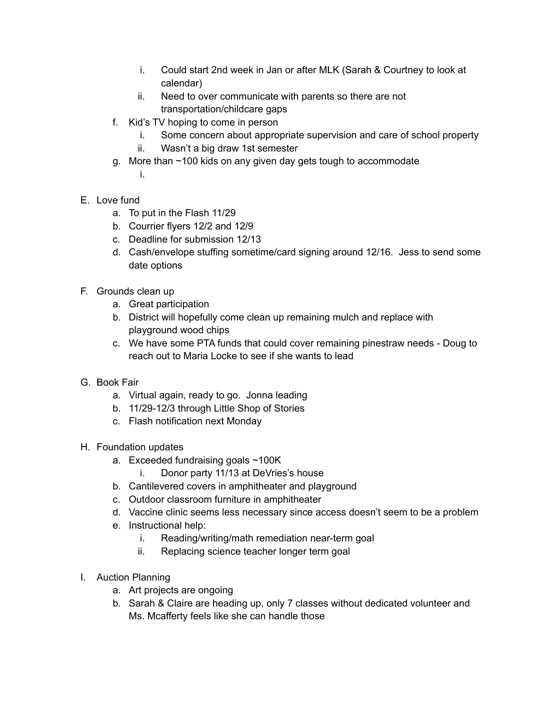- i. Could start 2nd week in Jan or after MLK (Sarah & Courtney to look at calendar)
- ii. Need to over communicate with parents so there are not transportation/childcare gaps
- f. Kid's TV hoping to come in person
	- i. Some concern about appropriate supervision and care of school property
	- ii. Wasn't a big draw 1st semester
- g. More than ~100 kids on any given day gets tough to accommodate
	- i.
- E. Love fund
	- a. To put in the Flash 11/29
	- b. Courrier flyers 12/2 and 12/9
	- c. Deadline for submission 12/13
	- d. Cash/envelope stuffing sometime/card signing around 12/16. Jess to send some date options
- F. Grounds clean up
	- a. Great participation
	- b. District will hopefully come clean up remaining mulch and replace with playground wood chips
	- c. We have some PTA funds that could cover remaining pinestraw needs Doug to reach out to Maria Locke to see if she wants to lead
- G. Book Fair
	- a. Virtual again, ready to go. Jonna leading
	- b. 11/29-12/3 through Little Shop of Stories
	- c. Flash notification next Monday
- H. Foundation updates
	- a. Exceeded fundraising goals ~100K
		- i. Donor party 11/13 at DeVries's house
	- b. Cantilevered covers in amphitheater and playground
	- c. Outdoor classroom furniture in amphitheater
	- d. Vaccine clinic seems less necessary since access doesn't seem to be a problem
	- e. Instructional help:
		- i. Reading/writing/math remediation near-term goal
		- ii. Replacing science teacher longer term goal
- I. Auction Planning
	- a. Art projects are ongoing
	- b. Sarah & Claire are heading up, only 7 classes without dedicated volunteer and Ms. Mcafferty feels like she can handle those